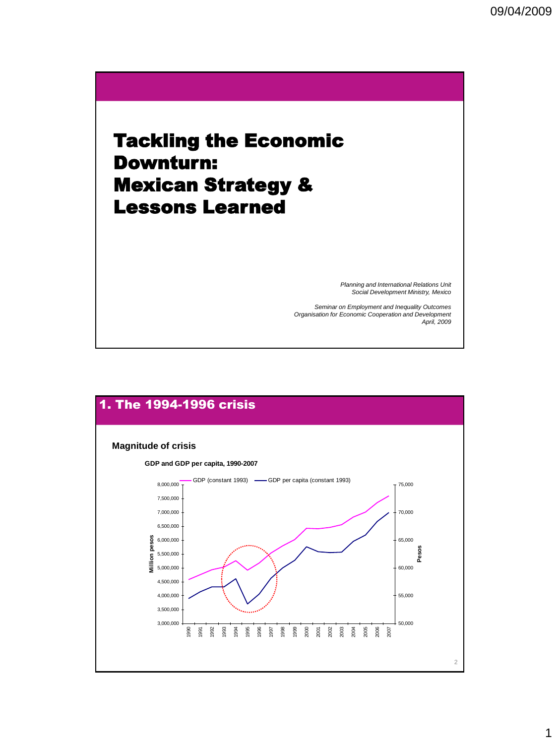# Tackling the Economic Downturn: Mexican Strategy & Lessons Learned

*Planning and International Relations Unit Social Development Ministry, Mexico*

*Seminar on Employment and Inequality Outcomes Organisation for Economic Cooperation and Development April, 2009*

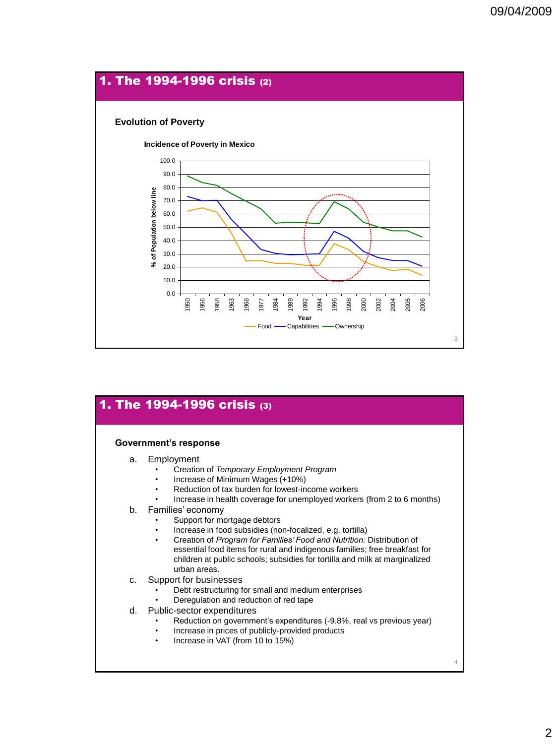

| Government's response |                                                                                                                                                                                                                                                                                                                                                                                                                                                      |
|-----------------------|------------------------------------------------------------------------------------------------------------------------------------------------------------------------------------------------------------------------------------------------------------------------------------------------------------------------------------------------------------------------------------------------------------------------------------------------------|
| a.                    | Employment<br>Creation of Temporary Employment Program<br>Increase of Minimum Wages (+10%)<br>۰<br>Reduction of tax burden for lowest-income workers                                                                                                                                                                                                                                                                                                 |
| b.                    | Increase in health coverage for unemployed workers (from 2 to 6 months)<br>Families' economy<br>Support for mortgage debtors<br>Increase in food subsidies (non-focalized, e.g. tortilla)<br>Creation of Program for Families' Food and Nutrition: Distribution of<br>۰<br>essential food items for rural and indigenous families; free breakfast for<br>children at public schools; subsidies for tortilla and milk at marginalized<br>urban areas. |
| c.                    | Support for businesses<br>Debt restructuring for small and medium enterprises<br>Deregulation and reduction of red tape                                                                                                                                                                                                                                                                                                                              |
| d.                    | Public-sector expenditures<br>Reduction on government's expenditures (-9.8%, real vs previous year)<br>Increase in prices of publicly-provided products<br>Increase in VAT (from 10 to 15%)<br>۰                                                                                                                                                                                                                                                     |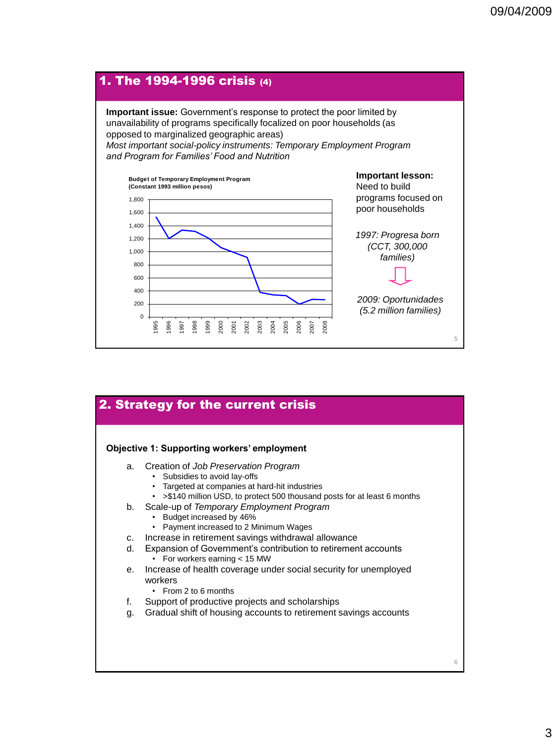

| 2. Strategy for the current crisis                 |                                                                                                                                                                                                                            |  |
|----------------------------------------------------|----------------------------------------------------------------------------------------------------------------------------------------------------------------------------------------------------------------------------|--|
| <b>Objective 1: Supporting workers' employment</b> |                                                                                                                                                                                                                            |  |
| a.                                                 | Creation of Job Preservation Program<br>Subsidies to avoid lay-offs<br>$\bullet$<br>• Targeted at companies at hard-hit industries<br>>\$140 million USD, to protect 500 thousand posts for at least 6 months<br>$\bullet$ |  |
|                                                    | b. Scale-up of Temporary Employment Program<br>Budget increased by 46%<br>Payment increased to 2 Minimum Wages                                                                                                             |  |
| C.                                                 | Increase in retirement savings withdrawal allowance                                                                                                                                                                        |  |
| d.                                                 | Expansion of Government's contribution to retirement accounts<br>• For workers earning < 15 MW                                                                                                                             |  |
| е.                                                 | Increase of health coverage under social security for unemployed<br>workers<br>From 2 to 6 months                                                                                                                          |  |
| f.                                                 | Support of productive projects and scholarships                                                                                                                                                                            |  |
| g.                                                 | Gradual shift of housing accounts to retirement savings accounts                                                                                                                                                           |  |
|                                                    |                                                                                                                                                                                                                            |  |

3

6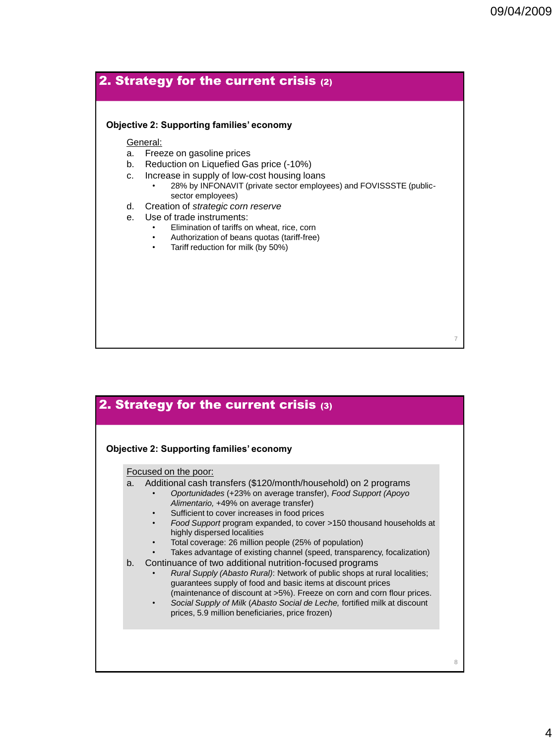7

8

## 2. Strategy for the current crisis (2)

#### **Objective 2: Supporting families' economy**

General:

- a. Freeze on gasoline prices
- b. Reduction on Liquefied Gas price (-10%)
- c. Increase in supply of low-cost housing loans
	- 28% by INFONAVIT (private sector employees) and FOVISSSTE (publicsector employees)
- d. Creation of *strategic corn reserve*
- e. Use of trade instruments:
	- Elimination of tariffs on wheat, rice, corn
	- Authorization of beans quotas (tariff-free)
	- Tariff reduction for milk (by 50%)

## 2. Strategy for the current crisis (3)

#### **Objective 2: Supporting families' economy**

Focused on the poor:

- a. Additional cash transfers (\$120/month/household) on 2 programs
	- *Oportunidades* (+23% on average transfer), *Food Support (Apoyo Alimentario,* +49% on average transfer)
	- Sufficient to cover increases in food prices
	- *Food Support* program expanded, to cover >150 thousand households at highly dispersed localities
	- Total coverage: 26 million people (25% of population)
	- Takes advantage of existing channel (speed, transparency, focalization)
- b. Continuance of two additional nutrition-focused programs
	- *Rural Supply (Abasto Rural)*: Network of public shops at rural localities; guarantees supply of food and basic items at discount prices (maintenance of discount at >5%). Freeze on corn and corn flour prices.
	- *Social Supply of Milk* (*Abasto Social de Leche,* fortified milk at discount prices, 5.9 million beneficiaries, price frozen)
		-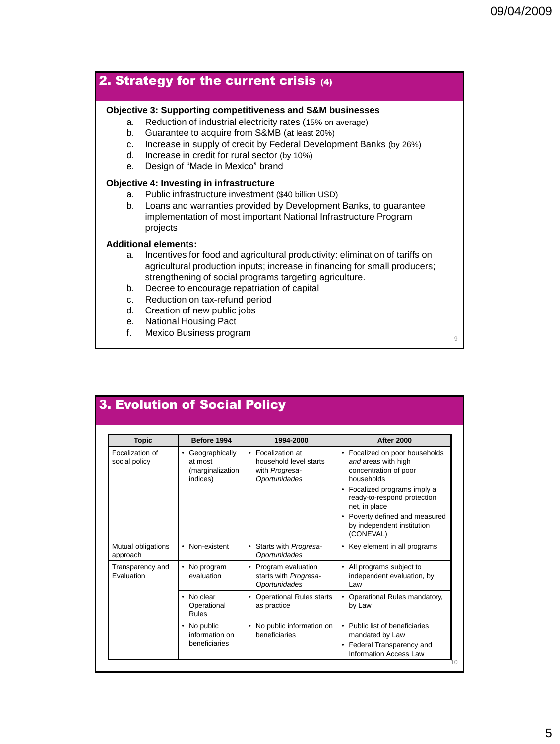$\overline{Q}$ 

## 2. Strategy for the current crisis (4)

### **Objective 3: Supporting competitiveness and S&M businesses**

- a. Reduction of industrial electricity rates (15% on average)
- b. Guarantee to acquire from S&MB (at least 20%)
- c. Increase in supply of credit by Federal Development Banks (by 26%)
- d. Increase in credit for rural sector (by 10%)
- e. Design of "Made in Mexico" brand

### **Objective 4: Investing in infrastructure**

- a. Public infrastructure investment (\$40 billion USD)
- b. Loans and warranties provided by Development Banks, to guarantee implementation of most important National Infrastructure Program projects

### **Additional elements:**

- a. Incentives for food and agricultural productivity: elimination of tariffs on agricultural production inputs; increase in financing for small producers; strengthening of social programs targeting agriculture.
- b. Decree to encourage repatriation of capital
- c. Reduction on tax-refund period
- d. Creation of new public jobs
- e. National Housing Pact
- f. Mexico Business program

10 3. Evolution of Social Policy **Topic Before 1994 1994-2000 After 2000** Focalization of social policy **Geographically** at most (marginalization indices) • Focalization at household level starts with *Progresa-Oportunidades* • Focalized on poor households *and* areas with high concentration of poor households • Focalized programs imply a ready-to-respond protection net, in place • Poverty defined and measured by independent institution (CONEVAL) Mutual obligations approach • Non-existent **|** • Starts with *Progresa-Oportunidades* • Key element in all programs Transparency and Evaluation • No program evaluation • Program evaluation starts with *Progresa-Oportunidades* • All programs subject to independent evaluation, by Law • No clear **Operational** Rules • Operational Rules starts as practice • Operational Rules mandatory, by Law No public information on beneficiaries • No public information on beneficiaries • Public list of beneficiaries mandated by Law • Federal Transparency and Information Access Law